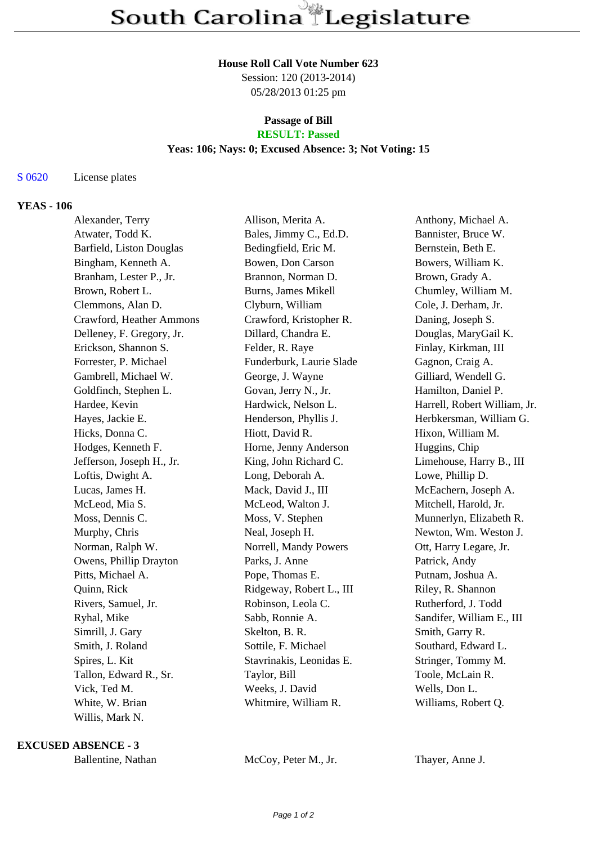#### **House Roll Call Vote Number 623**

Session: 120 (2013-2014) 05/28/2013 01:25 pm

# **Passage of Bill**

## **RESULT: Passed**

#### **Yeas: 106; Nays: 0; Excused Absence: 3; Not Voting: 15**

S 0620 License plates

#### **YEAS - 106**

| Alexander, Terry          | Allison, Merita A.       | Anthony, Michael A.          |
|---------------------------|--------------------------|------------------------------|
| Atwater, Todd K.          | Bales, Jimmy C., Ed.D.   | Bannister, Bruce W.          |
| Barfield, Liston Douglas  | Bedingfield, Eric M.     | Bernstein, Beth E.           |
| Bingham, Kenneth A.       | Bowen, Don Carson        | Bowers, William K.           |
| Branham, Lester P., Jr.   | Brannon, Norman D.       | Brown, Grady A.              |
| Brown, Robert L.          | Burns, James Mikell      | Chumley, William M.          |
| Clemmons, Alan D.         | Clyburn, William         | Cole, J. Derham, Jr.         |
| Crawford, Heather Ammons  | Crawford, Kristopher R.  | Daning, Joseph S.            |
| Delleney, F. Gregory, Jr. | Dillard, Chandra E.      | Douglas, MaryGail K.         |
| Erickson, Shannon S.      | Felder, R. Raye          | Finlay, Kirkman, III         |
| Forrester, P. Michael     | Funderburk, Laurie Slade | Gagnon, Craig A.             |
| Gambrell, Michael W.      | George, J. Wayne         | Gilliard, Wendell G.         |
| Goldfinch, Stephen L.     | Govan, Jerry N., Jr.     | Hamilton, Daniel P.          |
| Hardee, Kevin             | Hardwick, Nelson L.      | Harrell, Robert William, Jr. |
| Hayes, Jackie E.          | Henderson, Phyllis J.    | Herbkersman, William G.      |
| Hicks, Donna C.           | Hiott, David R.          | Hixon, William M.            |
| Hodges, Kenneth F.        | Horne, Jenny Anderson    | Huggins, Chip                |
| Jefferson, Joseph H., Jr. | King, John Richard C.    | Limehouse, Harry B., III     |
| Loftis, Dwight A.         | Long, Deborah A.         | Lowe, Phillip D.             |
| Lucas, James H.           | Mack, David J., III      | McEachern, Joseph A.         |
| McLeod, Mia S.            | McLeod, Walton J.        | Mitchell, Harold, Jr.        |
| Moss, Dennis C.           | Moss, V. Stephen         | Munnerlyn, Elizabeth R.      |
| Murphy, Chris             | Neal, Joseph H.          | Newton, Wm. Weston J.        |
| Norman, Ralph W.          | Norrell, Mandy Powers    | Ott, Harry Legare, Jr.       |
| Owens, Phillip Drayton    | Parks, J. Anne           | Patrick, Andy                |
| Pitts, Michael A.         | Pope, Thomas E.          | Putnam, Joshua A.            |
| Quinn, Rick               | Ridgeway, Robert L., III | Riley, R. Shannon            |
| Rivers, Samuel, Jr.       | Robinson, Leola C.       | Rutherford, J. Todd          |
| Ryhal, Mike               | Sabb, Ronnie A.          | Sandifer, William E., III    |
| Simrill, J. Gary          | Skelton, B. R.           | Smith, Garry R.              |
| Smith, J. Roland          | Sottile, F. Michael      | Southard, Edward L.          |
| Spires, L. Kit            | Stavrinakis, Leonidas E. | Stringer, Tommy M.           |
| Tallon, Edward R., Sr.    | Taylor, Bill             | Toole, McLain R.             |
| Vick, Ted M.              | Weeks, J. David          | Wells, Don L.                |
| White, W. Brian           | Whitmire, William R.     | Williams, Robert Q.          |
| Willis, Mark N.           |                          |                              |

**EXCUSED ABSENCE - 3**

Ballentine, Nathan McCoy, Peter M., Jr. Thayer, Anne J.